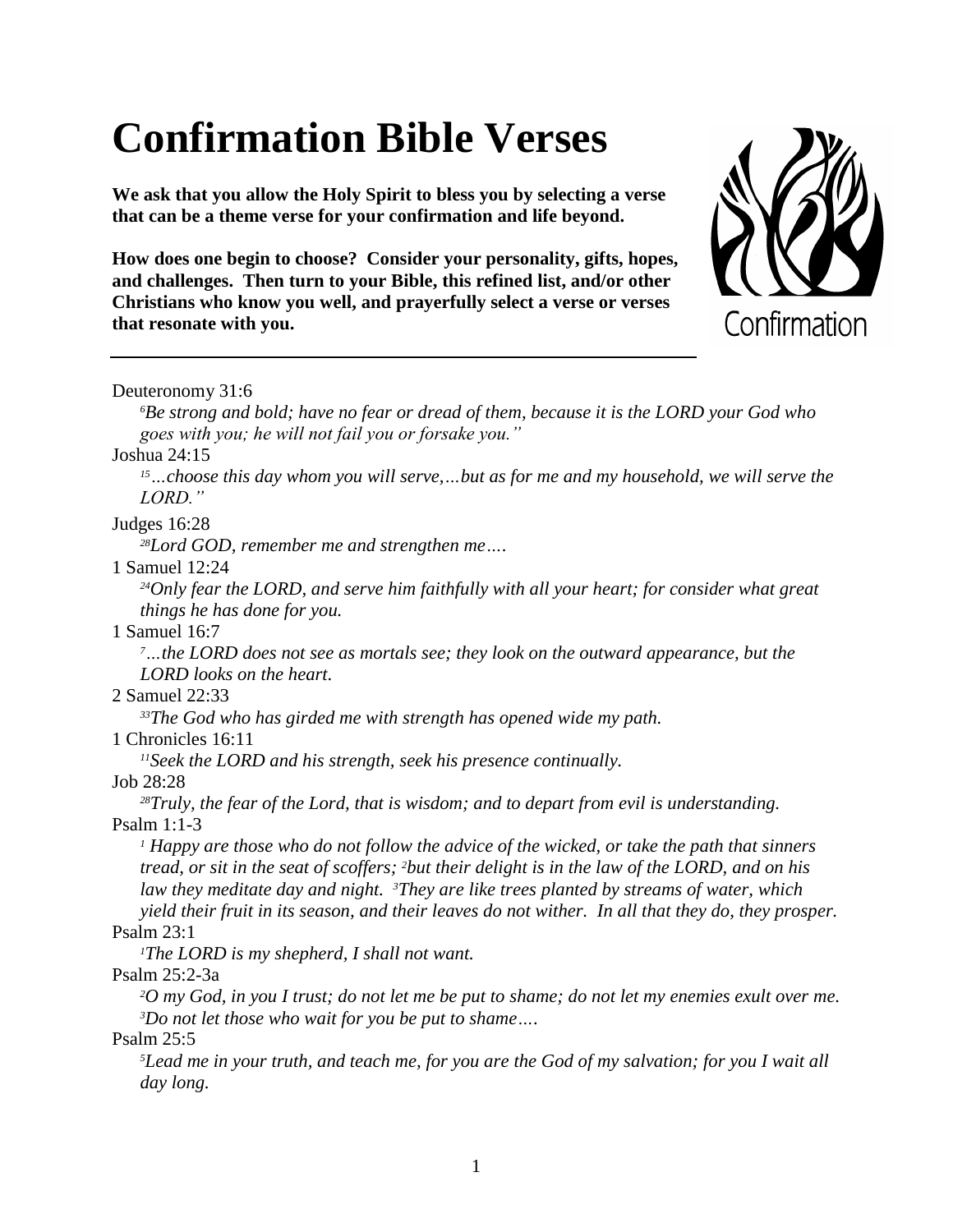# **Confirmation Bible Verses**

**We ask that you allow the Holy Spirit to bless you by selecting a verse that can be a theme verse for your confirmation and life beyond.**

**How does one begin to choose? Consider your personality, gifts, hopes, and challenges. Then turn to your Bible, this refined list, and/or other Christians who know you well, and prayerfully select a verse or verses that resonate with you.**



Deuteronomy 31:6

*<sup>6</sup>Be strong and bold; have no fear or dread of them, because it is the LORD your God who goes with you; he will not fail you or forsake you."*

Joshua 24:15

*<sup>15</sup>…choose this day whom you will serve,…but as for me and my household, we will serve the LORD."*

Judges 16:28

*<sup>28</sup>Lord GOD, remember me and strengthen me….*

1 Samuel 12:24

*<sup>24</sup>Only fear the LORD, and serve him faithfully with all your heart; for consider what great things he has done for you.*

1 Samuel 16:7

*<sup>7</sup>…the LORD does not see as mortals see; they look on the outward appearance, but the LORD looks on the heart.*

2 Samuel 22:33

*<sup>33</sup>The God who has girded me with strength has opened wide my path.*

1 Chronicles 16:11

*<sup>11</sup>Seek the LORD and his strength, seek his presence continually.*

Job 28:28

*<sup>28</sup>Truly, the fear of the Lord, that is wisdom; and to depart from evil is understanding.* Psalm 1:1-3

*<sup>1</sup> Happy are those who do not follow the advice of the wicked, or take the path that sinners tread, or sit in the seat of scoffers; <sup>2</sup>but their delight is in the law of the LORD, and on his law they meditate day and night. <sup>3</sup>They are like trees planted by streams of water, which yield their fruit in its season, and their leaves do not wither. In all that they do, they prosper.*

Psalm 23:1

*<sup>1</sup>The LORD is my shepherd, I shall not want.*

Psalm 25:2-3a

*<sup>2</sup>O my God, in you I trust; do not let me be put to shame; do not let my enemies exult over me. <sup>3</sup>Do not let those who wait for you be put to shame….*

Psalm 25:5

*<sup>5</sup>Lead me in your truth, and teach me, for you are the God of my salvation; for you I wait all day long.*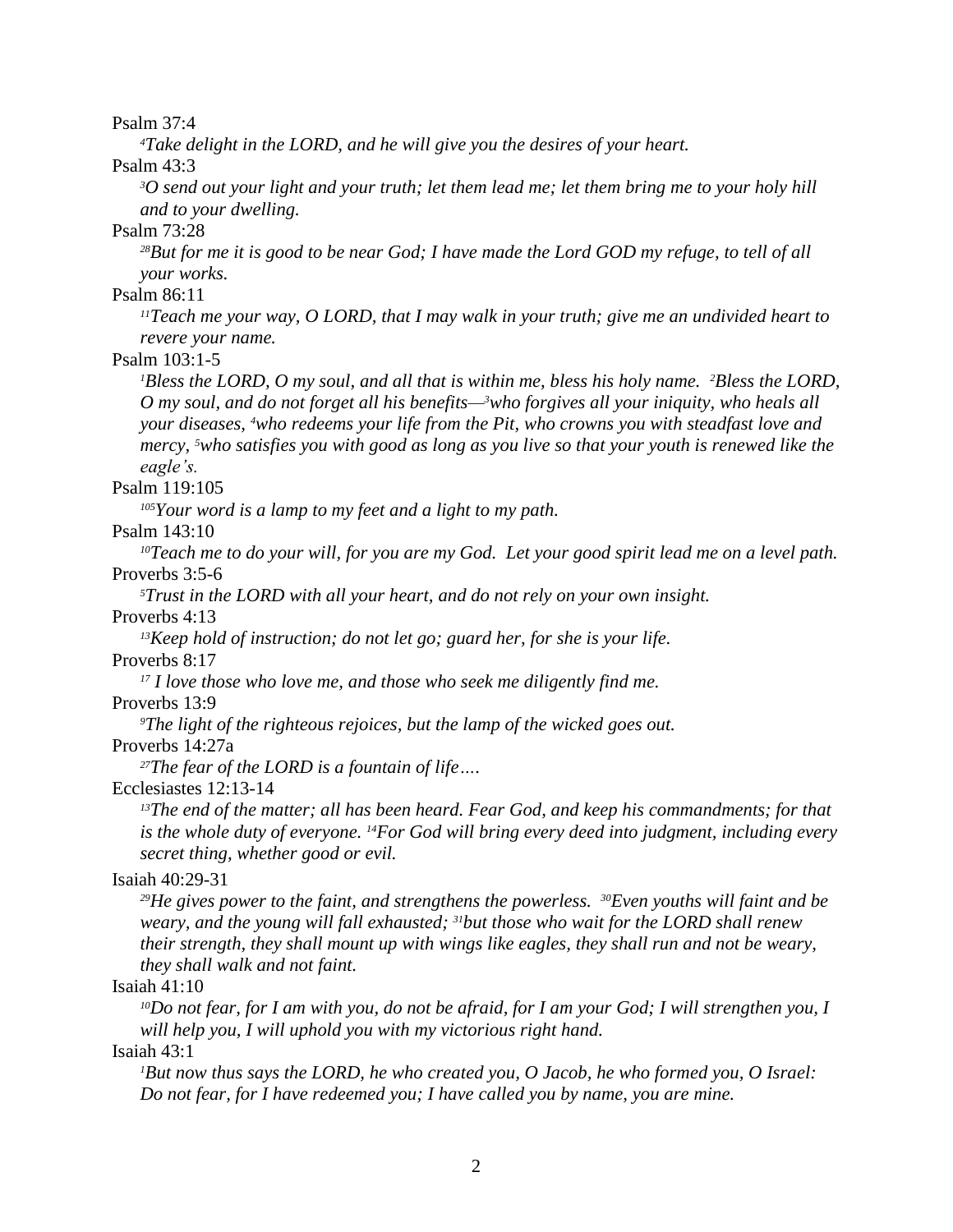Psalm 37:4

*<sup>4</sup>Take delight in the LORD, and he will give you the desires of your heart.*

Psalm 43:3

*<sup>3</sup>O send out your light and your truth; let them lead me; let them bring me to your holy hill and to your dwelling.*

Psalm 73:28

*<sup>28</sup>But for me it is good to be near God; I have made the Lord GOD my refuge, to tell of all your works.*

Psalm 86:11

*<sup>11</sup>Teach me your way, O LORD, that I may walk in your truth; give me an undivided heart to revere your name.*

Psalm 103:1-5

*<sup>1</sup>Bless the LORD, O my soul, and all that is within me, bless his holy name. <sup>2</sup>Bless the LORD, O my soul, and do not forget all his benefits—3who forgives all your iniquity, who heals all your diseases, <sup>4</sup>who redeems your life from the Pit, who crowns you with steadfast love and mercy, <sup>5</sup>who satisfies you with good as long as you live so that your youth is renewed like the eagle's.*

Psalm 119:105

*<sup>105</sup>Your word is a lamp to my feet and a light to my path.*

Psalm 143:10

*<sup>10</sup>Teach me to do your will, for you are my God. Let your good spirit lead me on a level path.* Proverbs 3:5-6

*<sup>5</sup>Trust in the LORD with all your heart, and do not rely on your own insight.*

Proverbs 4:13

*<sup>13</sup>Keep hold of instruction; do not let go; guard her, for she is your life.* Proverbs 8:17

*<sup>17</sup> I love those who love me, and those who seek me diligently find me.*

Proverbs 13:9

*<sup>9</sup>The light of the righteous rejoices, but the lamp of the wicked goes out.*

Proverbs 14:27a

*<sup>27</sup>The fear of the LORD is a fountain of life….*

Ecclesiastes 12:13-14

*<sup>13</sup>The end of the matter; all has been heard. Fear God, and keep his commandments; for that is the whole duty of everyone. <sup>14</sup>For God will bring every deed into judgment, including every secret thing, whether good or evil.*

#### Isaiah 40:29-31

*<sup>29</sup>He gives power to the faint, and strengthens the powerless. <sup>30</sup>Even youths will faint and be weary, and the young will fall exhausted; <sup>31</sup>but those who wait for the LORD shall renew their strength, they shall mount up with wings like eagles, they shall run and not be weary, they shall walk and not faint.*

## Isaiah 41:10

*<sup>10</sup>Do not fear, for I am with you, do not be afraid, for I am your God; I will strengthen you, I will help you, I will uphold you with my victorious right hand.*

Isaiah 43:1

*<sup>1</sup>But now thus says the LORD, he who created you, O Jacob, he who formed you, O Israel: Do not fear, for I have redeemed you; I have called you by name, you are mine.*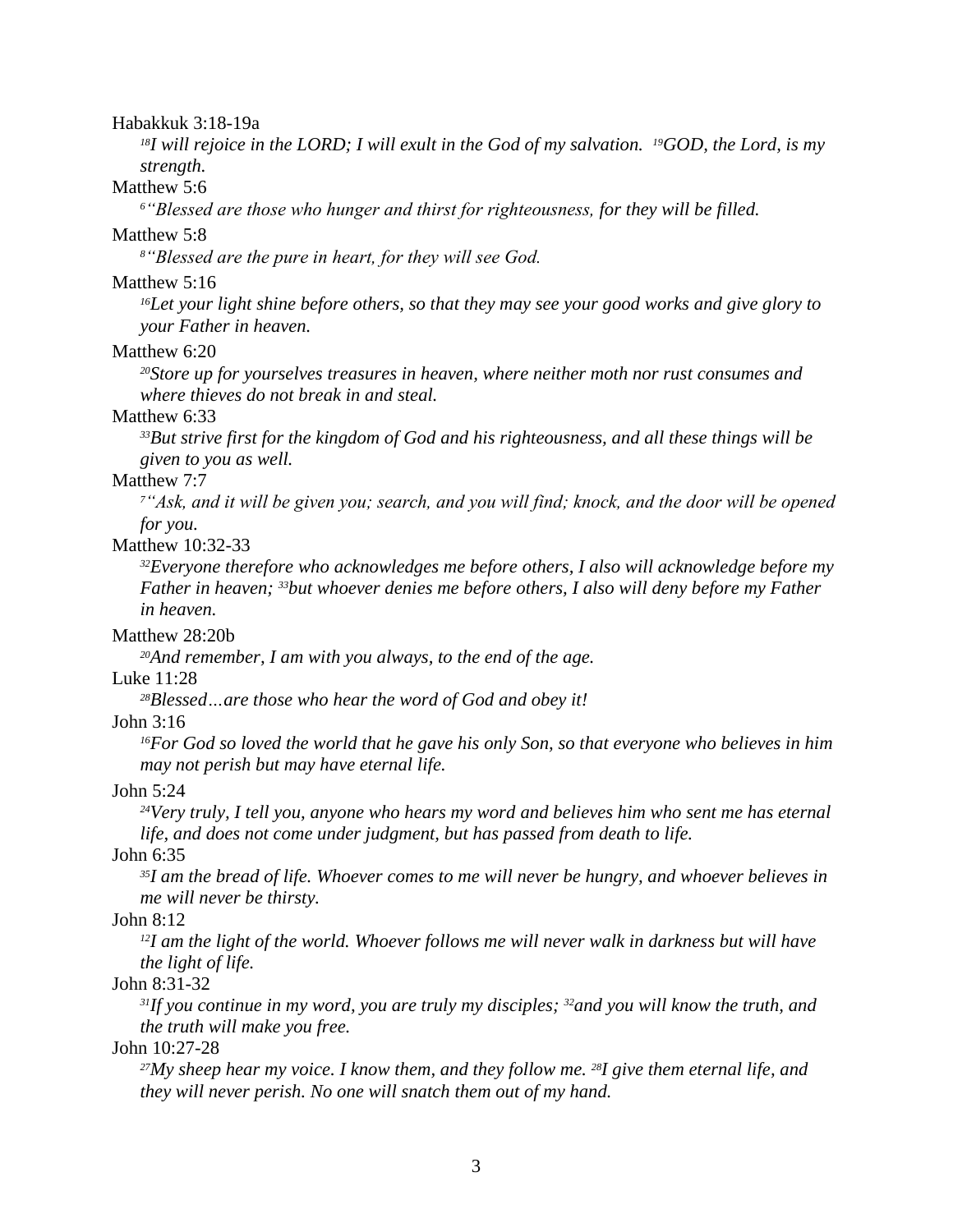#### Habakkuk 3:18-19a

*<sup>18</sup>I will rejoice in the LORD; I will exult in the God of my salvation. <sup>19</sup>GOD, the Lord, is my strength.*

# Matthew 5:6

*<sup>6</sup>"Blessed are those who hunger and thirst for righteousness, for they will be filled.*

# Matthew 5:8

*<sup>8</sup>"Blessed are the pure in heart, for they will see God.*

#### Matthew 5:16

*<sup>16</sup>Let your light shine before others, so that they may see your good works and give glory to your Father in heaven.*

# Matthew 6:20

*<sup>20</sup>Store up for yourselves treasures in heaven, where neither moth nor rust consumes and where thieves do not break in and steal.*

# Matthew 6:33

*<sup>33</sup>But strive first for the kingdom of God and his righteousness, and all these things will be given to you as well.*

# Matthew 7:7

*<sup>7</sup>"Ask, and it will be given you; search, and you will find; knock, and the door will be opened for you.*

# Matthew 10:32-33

*<sup>32</sup>Everyone therefore who acknowledges me before others, I also will acknowledge before my Father in heaven; <sup>33</sup>but whoever denies me before others, I also will deny before my Father in heaven.*

## Matthew 28:20b

*<sup>20</sup>And remember, I am with you always, to the end of the age.*

## Luke 11:28

*<sup>28</sup>Blessed…are those who hear the word of God and obey it!*

# John 3:16

*<sup>16</sup>For God so loved the world that he gave his only Son, so that everyone who believes in him may not perish but may have eternal life.*

#### John 5:24

*<sup>24</sup>Very truly, I tell you, anyone who hears my word and believes him who sent me has eternal life, and does not come under judgment, but has passed from death to life.*

# John 6:35

*<sup>35</sup>I am the bread of life. Whoever comes to me will never be hungry, and whoever believes in me will never be thirsty.*

# John 8:12

*<sup>12</sup>I am the light of the world. Whoever follows me will never walk in darkness but will have the light of life.*

# John 8:31-32

*<sup>31</sup>If you continue in my word, you are truly my disciples; <sup>32</sup>and you will know the truth, and the truth will make you free.*

## John 10:27-28

*<sup>27</sup>My sheep hear my voice. I know them, and they follow me. <sup>28</sup>I give them eternal life, and they will never perish. No one will snatch them out of my hand.*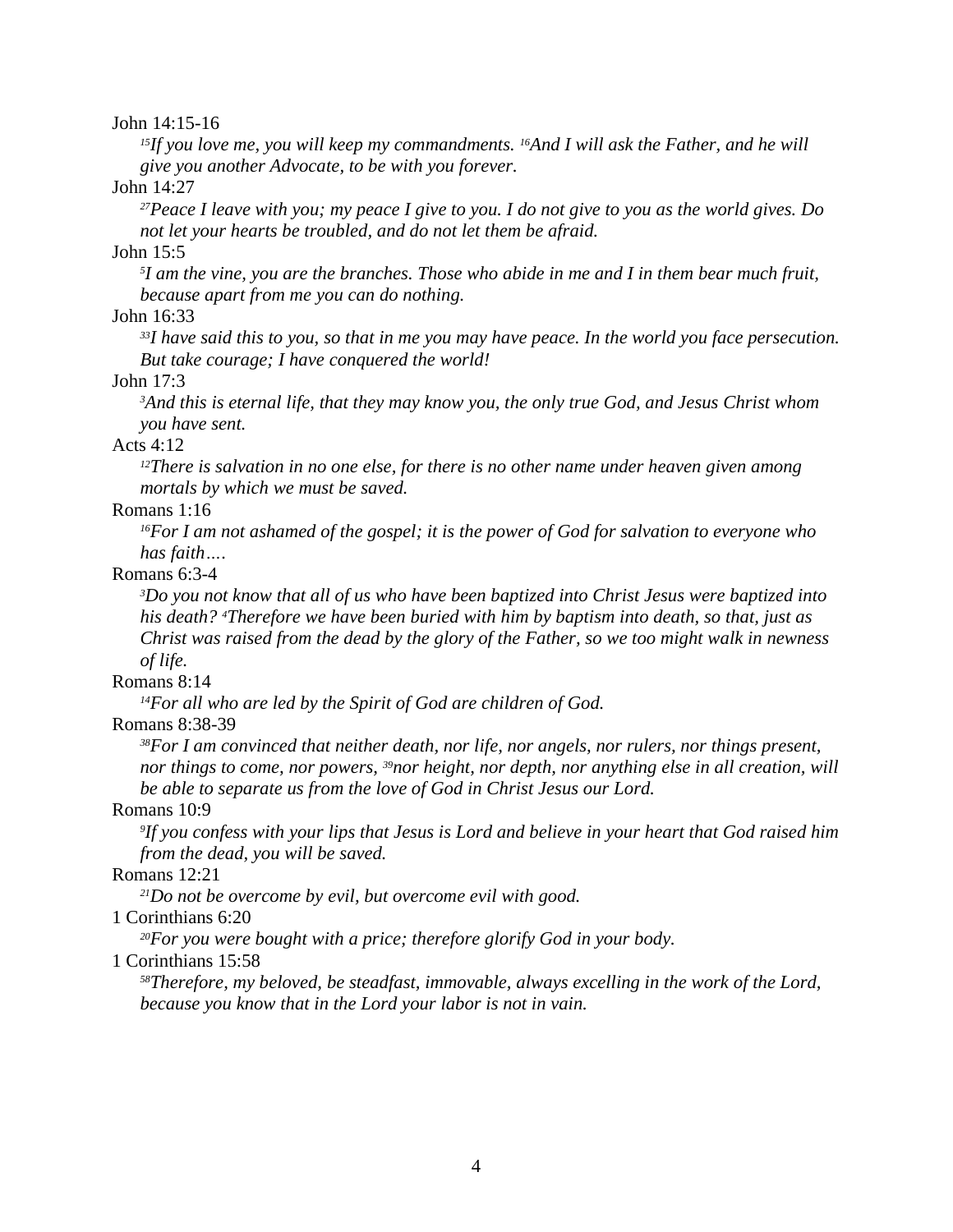John 14:15-16

*<sup>15</sup>If you love me, you will keep my commandments. <sup>16</sup>And I will ask the Father, and he will give you another Advocate, to be with you forever.*

John 14:27

*<sup>27</sup>Peace I leave with you; my peace I give to you. I do not give to you as the world gives. Do not let your hearts be troubled, and do not let them be afraid.*

John 15:5

*5 I am the vine, you are the branches. Those who abide in me and I in them bear much fruit, because apart from me you can do nothing.*

John 16:33

*<sup>33</sup>I have said this to you, so that in me you may have peace. In the world you face persecution. But take courage; I have conquered the world!*

John 17:3

*<sup>3</sup>And this is eternal life, that they may know you, the only true God, and Jesus Christ whom you have sent.*

## Acts 4:12

*<sup>12</sup>There is salvation in no one else, for there is no other name under heaven given among mortals by which we must be saved.*

# Romans 1:16

*<sup>16</sup>For I am not ashamed of the gospel; it is the power of God for salvation to everyone who has faith….*

# Romans 6:3-4

*<sup>3</sup>Do you not know that all of us who have been baptized into Christ Jesus were baptized into his death? <sup>4</sup>Therefore we have been buried with him by baptism into death, so that, just as Christ was raised from the dead by the glory of the Father, so we too might walk in newness of life.*

## Romans 8:14

*<sup>14</sup>For all who are led by the Spirit of God are children of God.*

Romans 8:38-39

*<sup>38</sup>For I am convinced that neither death, nor life, nor angels, nor rulers, nor things present, nor things to come, nor powers, <sup>39</sup>nor height, nor depth, nor anything else in all creation, will be able to separate us from the love of God in Christ Jesus our Lord.*

# Romans 10:9

*9 If you confess with your lips that Jesus is Lord and believe in your heart that God raised him from the dead, you will be saved.*

## Romans 12:21

*<sup>21</sup>Do not be overcome by evil, but overcome evil with good.*

1 Corinthians 6:20

*<sup>20</sup>For you were bought with a price; therefore glorify God in your body.*

# 1 Corinthians 15:58

*<sup>58</sup>Therefore, my beloved, be steadfast, immovable, always excelling in the work of the Lord, because you know that in the Lord your labor is not in vain.*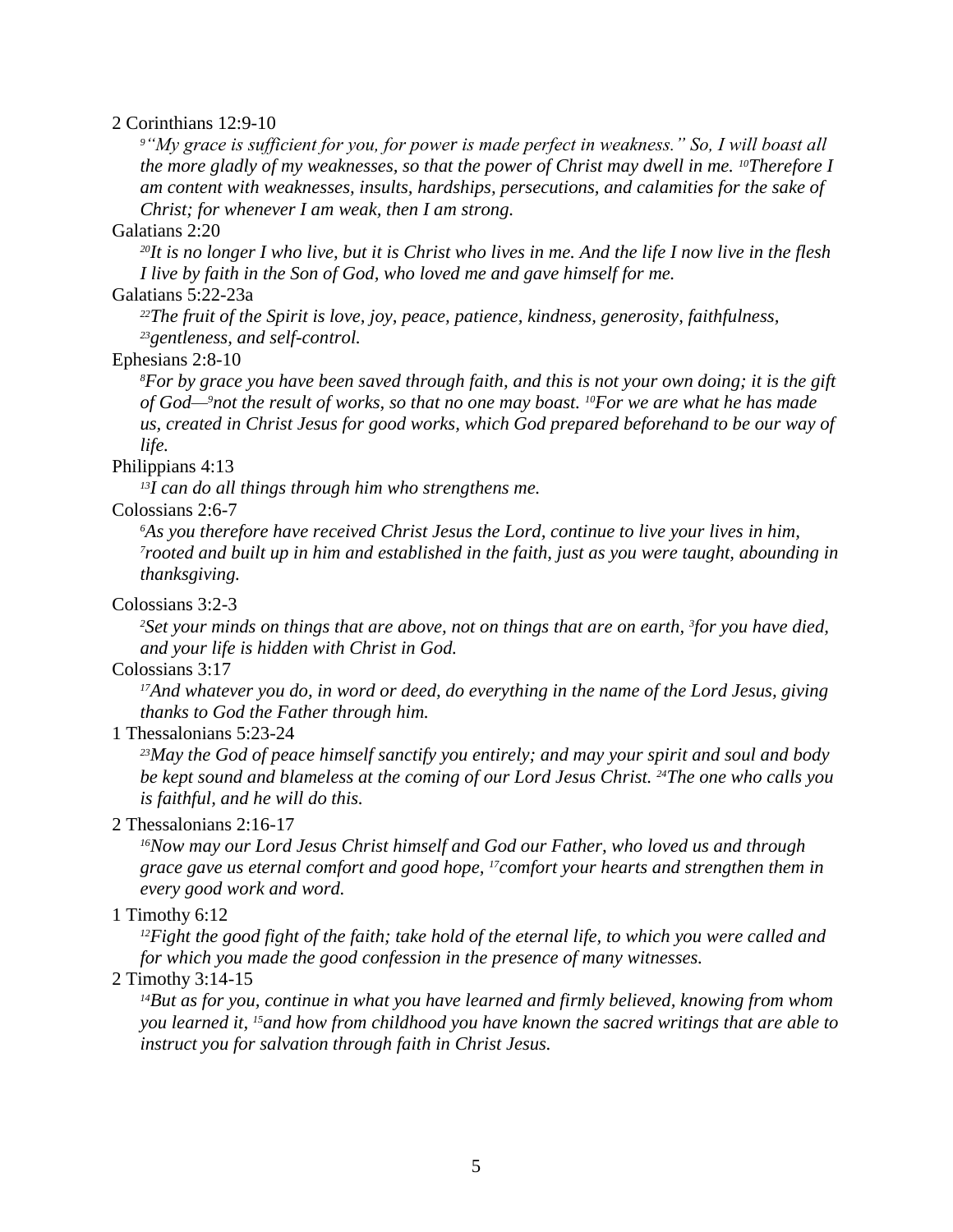# 2 Corinthians 12:9-10

*<sup>9</sup>"My grace is sufficient for you, for power is made perfect in weakness." So, I will boast all the more gladly of my weaknesses, so that the power of Christ may dwell in me. <sup>10</sup>Therefore I am content with weaknesses, insults, hardships, persecutions, and calamities for the sake of Christ; for whenever I am weak, then I am strong.*

## Galatians 2:20

*<sup>20</sup>It is no longer I who live, but it is Christ who lives in me. And the life I now live in the flesh I live by faith in the Son of God, who loved me and gave himself for me.*

# Galatians 5:22-23a

*<sup>22</sup>The fruit of the Spirit is love, joy, peace, patience, kindness, generosity, faithfulness, <sup>23</sup>gentleness, and self-control.*

# Ephesians 2:8-10

*<sup>8</sup>For by grace you have been saved through faith, and this is not your own doing; it is the gift of God—9not the result of works, so that no one may boast. <sup>10</sup>For we are what he has made us, created in Christ Jesus for good works, which God prepared beforehand to be our way of life.*

# Philippians 4:13

*<sup>13</sup>I can do all things through him who strengthens me.*

## Colossians 2:6-7

*<sup>6</sup>As you therefore have received Christ Jesus the Lord, continue to live your lives in him, <sup>7</sup>rooted and built up in him and established in the faith, just as you were taught, abounding in thanksgiving.*

# Colossians 3:2-3

*<sup>2</sup>Set your minds on things that are above, not on things that are on earth, <sup>3</sup> for you have died, and your life is hidden with Christ in God.*

# Colossians 3:17

*<sup>17</sup>And whatever you do, in word or deed, do everything in the name of the Lord Jesus, giving thanks to God the Father through him.*

## 1 Thessalonians 5:23-24

*<sup>23</sup>May the God of peace himself sanctify you entirely; and may your spirit and soul and body be kept sound and blameless at the coming of our Lord Jesus Christ. <sup>24</sup>The one who calls you is faithful, and he will do this.*

## 2 Thessalonians 2:16-17

*<sup>16</sup>Now may our Lord Jesus Christ himself and God our Father, who loved us and through grace gave us eternal comfort and good hope, <sup>17</sup>comfort your hearts and strengthen them in every good work and word.*

# 1 Timothy 6:12

*<sup>12</sup>Fight the good fight of the faith; take hold of the eternal life, to which you were called and for which you made the good confession in the presence of many witnesses.*

# 2 Timothy 3:14-15

*<sup>14</sup>But as for you, continue in what you have learned and firmly believed, knowing from whom you learned it, <sup>15</sup>and how from childhood you have known the sacred writings that are able to instruct you for salvation through faith in Christ Jesus.*